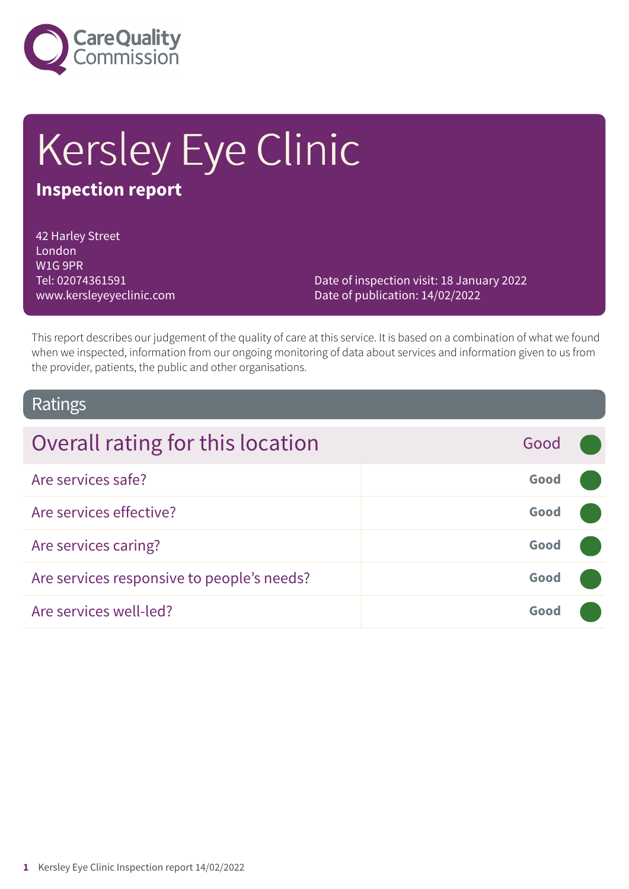

# Kersley Eye Clinic

### **Inspection report**

42 Harley Street London W1G 9PR Tel: 02074361591 www.kersleyeyeclinic.com

Date of inspection visit: 18 January 2022 Date of publication: 14/02/2022

This report describes our judgement of the quality of care at this service. It is based on a combination of what we found when we inspected, information from our ongoing monitoring of data about services and information given to us from the provider, patients, the public and other organisations.

### Ratings

| Overall rating for this location           | Good |  |
|--------------------------------------------|------|--|
| Are services safe?                         | Good |  |
| Are services effective?                    | Good |  |
| Are services caring?                       | Good |  |
| Are services responsive to people's needs? | Good |  |
| Are services well-led?                     | Good |  |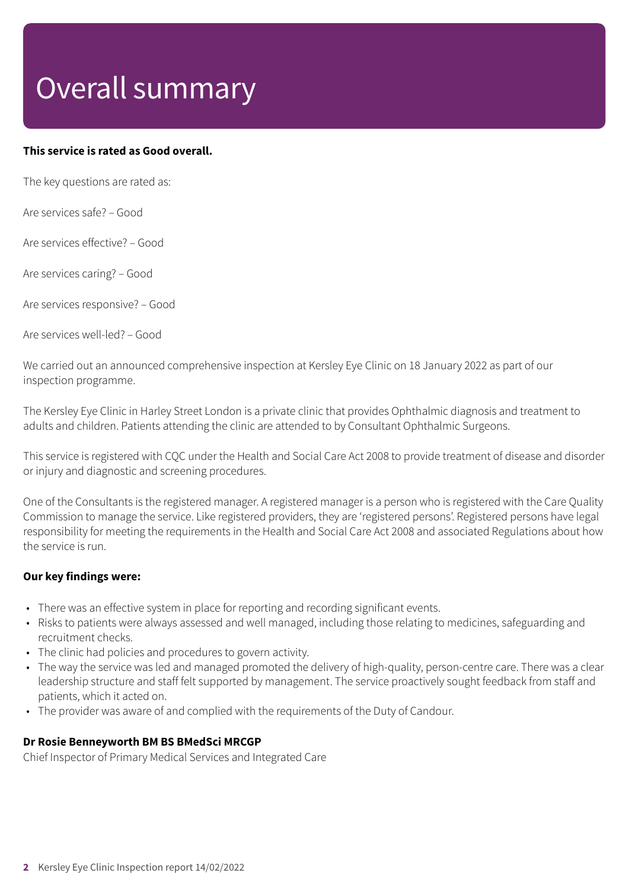# Overall summary

### **This service is rated as Good overall.**

The key questions are rated as:

Are services safe? – Good

Are services effective? – Good

Are services caring? – Good

Are services responsive? – Good

Are services well-led? – Good

We carried out an announced comprehensive inspection at Kersley Eye Clinic on 18 January 2022 as part of our inspection programme.

The Kersley Eye Clinic in Harley Street London is a private clinic that provides Ophthalmic diagnosis and treatment to adults and children. Patients attending the clinic are attended to by Consultant Ophthalmic Surgeons.

This service is registered with CQC under the Health and Social Care Act 2008 to provide treatment of disease and disorder or injury and diagnostic and screening procedures.

One of the Consultants is the registered manager. A registered manager is a person who is registered with the Care Quality Commission to manage the service. Like registered providers, they are 'registered persons'. Registered persons have legal responsibility for meeting the requirements in the Health and Social Care Act 2008 and associated Regulations about how the service is run.

#### **Our key findings were:**

- There was an effective system in place for reporting and recording significant events.
- Risks to patients were always assessed and well managed, including those relating to medicines, safeguarding and recruitment checks.
- The clinic had policies and procedures to govern activity.
- The way the service was led and managed promoted the delivery of high-quality, person-centre care. There was a clear leadership structure and staff felt supported by management. The service proactively sought feedback from staff and patients, which it acted on.
- The provider was aware of and complied with the requirements of the Duty of Candour.

### **Dr Rosie Benneyworth BM BS BMedSci MRCGP**

Chief Inspector of Primary Medical Services and Integrated Care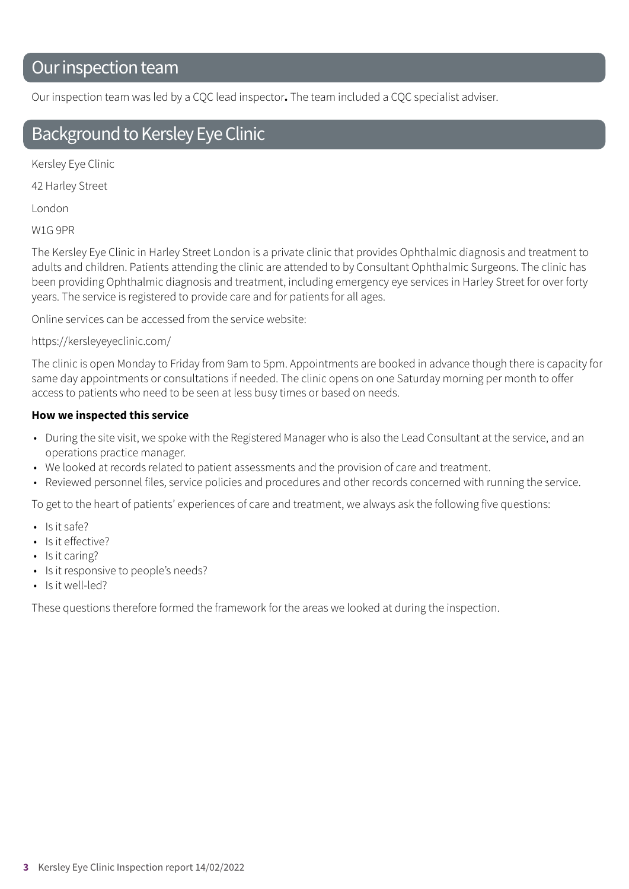### Our inspection team

Our inspection team was led by a CQC lead inspector**.** The team included a CQC specialist adviser.

### Background to Kersley Eye Clinic

Kersley Eye Clinic

42 Harley Street

London

W1G 9PR

The Kersley Eye Clinic in Harley Street London is a private clinic that provides Ophthalmic diagnosis and treatment to adults and children. Patients attending the clinic are attended to by Consultant Ophthalmic Surgeons. The clinic has been providing Ophthalmic diagnosis and treatment, including emergency eye services in Harley Street for over forty years. The service is registered to provide care and for patients for all ages.

Online services can be accessed from the service website:

### https://kersleyeyeclinic.com/

The clinic is open Monday to Friday from 9am to 5pm. Appointments are booked in advance though there is capacity for same day appointments or consultations if needed. The clinic opens on one Saturday morning per month to offer access to patients who need to be seen at less busy times or based on needs.

### **How we inspected this service**

- During the site visit, we spoke with the Registered Manager who is also the Lead Consultant at the service, and an operations practice manager.
- We looked at records related to patient assessments and the provision of care and treatment.
- Reviewed personnel files, service policies and procedures and other records concerned with running the service.

To get to the heart of patients' experiences of care and treatment, we always ask the following five questions:

- Is it safe?
- Is it effective?
- Is it caring?
- Is it responsive to people's needs?
- Is it well-led?

These questions therefore formed the framework for the areas we looked at during the inspection.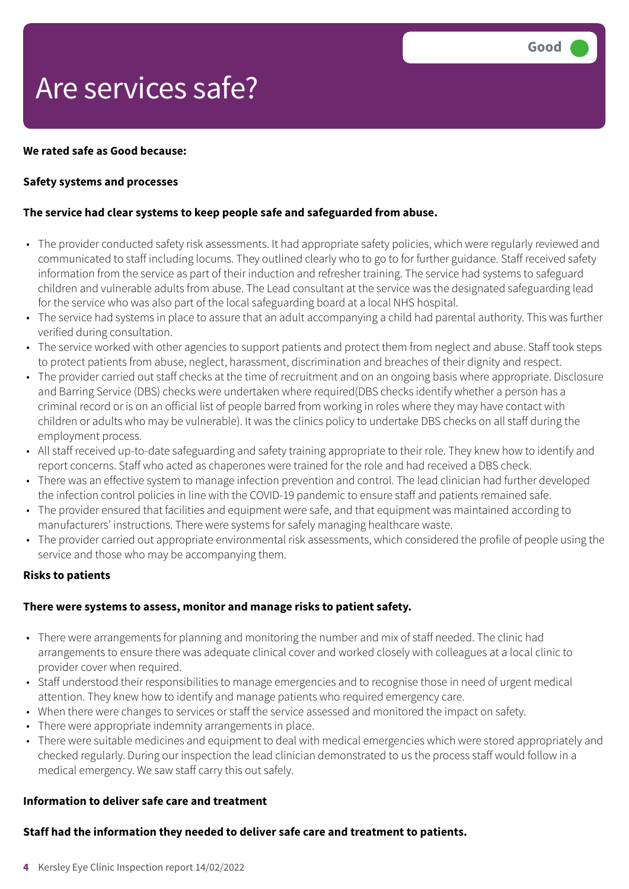## Are services safe?

### **We rated safe as Good because:**

### **Safety systems and processes**

### **The service had clear systems to keep people safe and safeguarded from abuse.**

- The provider conducted safety risk assessments. It had appropriate safety policies, which were regularly reviewed and communicated to staff including locums. They outlined clearly who to go to for further guidance. Staff received safety information from the service as part of their induction and refresher training. The service had systems to safeguard children and vulnerable adults from abuse. The Lead consultant at the service was the designated safeguarding lead for the service who was also part of the local safeguarding board at a local NHS hospital.
- The service had systems in place to assure that an adult accompanying a child had parental authority. This was further verified during consultation.
- The service worked with other agencies to support patients and protect them from neglect and abuse. Staff took steps to protect patients from abuse, neglect, harassment, discrimination and breaches of their dignity and respect.
- The provider carried out staff checks at the time of recruitment and on an ongoing basis where appropriate. Disclosure and Barring Service (DBS) checks were undertaken where required(DBS checks identify whether a person has a criminal record or is on an official list of people barred from working in roles where they may have contact with children or adults who may be vulnerable). It was the clinics policy to undertake DBS checks on all staff during the employment process.
- All staff received up-to-date safeguarding and safety training appropriate to their role. They knew how to identify and report concerns. Staff who acted as chaperones were trained for the role and had received a DBS check.
- There was an effective system to manage infection prevention and control. The lead clinician had further developed the infection control policies in line with the COVID-19 pandemic to ensure staff and patients remained safe.
- The provider ensured that facilities and equipment were safe, and that equipment was maintained according to manufacturers' instructions. There were systems for safely managing healthcare waste.
- The provider carried out appropriate environmental risk assessments, which considered the profile of people using the service and those who may be accompanying them.

#### **Risks to patients**

#### **There were systems to assess, monitor and manage risks to patient safety.**

- There were arrangements for planning and monitoring the number and mix of staff needed. The clinic had arrangements to ensure there was adequate clinical cover and worked closely with colleagues at a local clinic to provider cover when required.
- Staff understood their responsibilities to manage emergencies and to recognise those in need of urgent medical attention. They knew how to identify and manage patients who required emergency care.
- When there were changes to services or staff the service assessed and monitored the impact on safety.
- There were appropriate indemnity arrangements in place.
- There were suitable medicines and equipment to deal with medical emergencies which were stored appropriately and checked regularly. During our inspection the lead clinician demonstrated to us the process staff would follow in a medical emergency. We saw staff carry this out safely.

#### **Information to deliver safe care and treatment**

### **Staff had the information they needed to deliver safe care and treatment to patients.**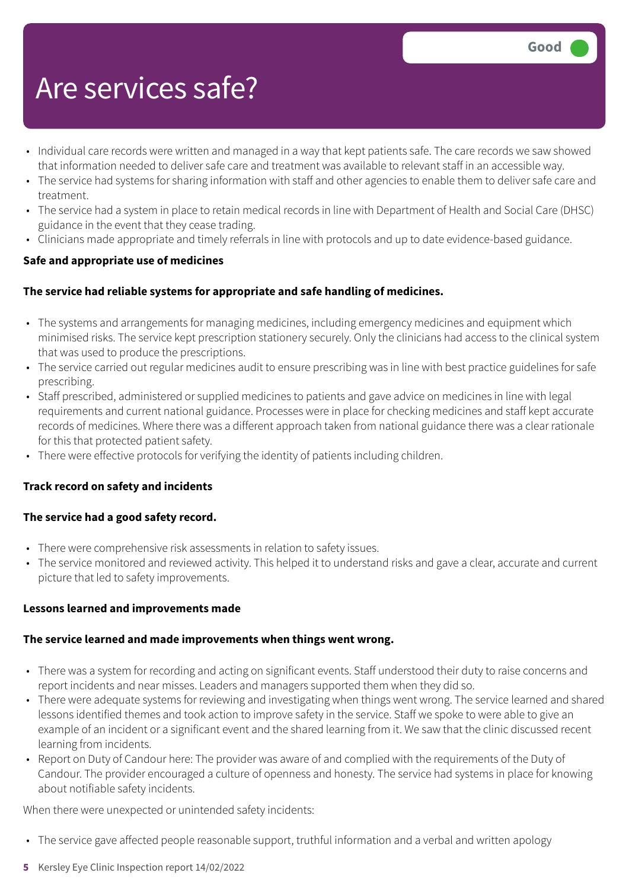## Are services safe?

- Individual care records were written and managed in a way that kept patients safe. The care records we saw showed that information needed to deliver safe care and treatment was available to relevant staff in an accessible way.
- The service had systems for sharing information with staff and other agencies to enable them to deliver safe care and treatment.
- The service had a system in place to retain medical records in line with Department of Health and Social Care (DHSC) guidance in the event that they cease trading.
- Clinicians made appropriate and timely referrals in line with protocols and up to date evidence-based guidance.

### **Safe and appropriate use of medicines**

### **The service had reliable systems for appropriate and safe handling of medicines.**

- The systems and arrangements for managing medicines, including emergency medicines and equipment which minimised risks. The service kept prescription stationery securely. Only the clinicians had access to the clinical system that was used to produce the prescriptions.
- The service carried out regular medicines audit to ensure prescribing was in line with best practice guidelines for safe prescribing.
- Staff prescribed, administered or supplied medicines to patients and gave advice on medicines in line with legal requirements and current national guidance. Processes were in place for checking medicines and staff kept accurate records of medicines. Where there was a different approach taken from national guidance there was a clear rationale for this that protected patient safety.
- There were effective protocols for verifying the identity of patients including children.

### **Track record on safety and incidents**

### **The service had a good safety record.**

- There were comprehensive risk assessments in relation to safety issues.
- The service monitored and reviewed activity. This helped it to understand risks and gave a clear, accurate and current picture that led to safety improvements.

### **Lessons learned and improvements made**

### **The service learned and made improvements when things went wrong.**

- There was a system for recording and acting on significant events. Staff understood their duty to raise concerns and report incidents and near misses. Leaders and managers supported them when they did so.
- There were adequate systems for reviewing and investigating when things went wrong. The service learned and shared lessons identified themes and took action to improve safety in the service. Staff we spoke to were able to give an example of an incident or a significant event and the shared learning from it. We saw that the clinic discussed recent learning from incidents.
- Report on Duty of Candour here: The provider was aware of and complied with the requirements of the Duty of Candour. The provider encouraged a culture of openness and honesty. The service had systems in place for knowing about notifiable safety incidents.

When there were unexpected or unintended safety incidents:

- The service gave affected people reasonable support, truthful information and a verbal and written apology
- **5** Kersley Eye Clinic Inspection report 14/02/2022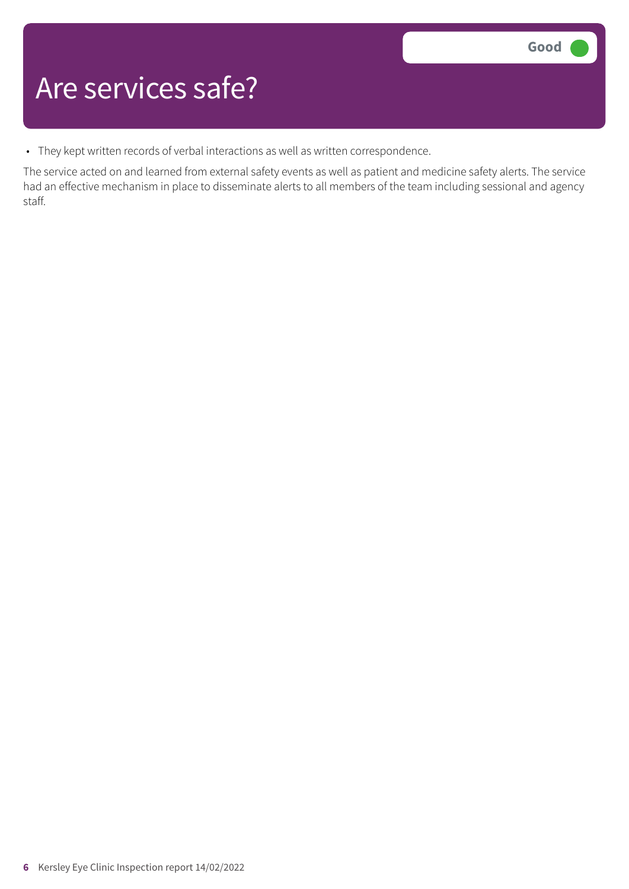### Are services safe?

• They kept written records of verbal interactions as well as written correspondence.

The service acted on and learned from external safety events as well as patient and medicine safety alerts. The service had an effective mechanism in place to disseminate alerts to all members of the team including sessional and agency staff.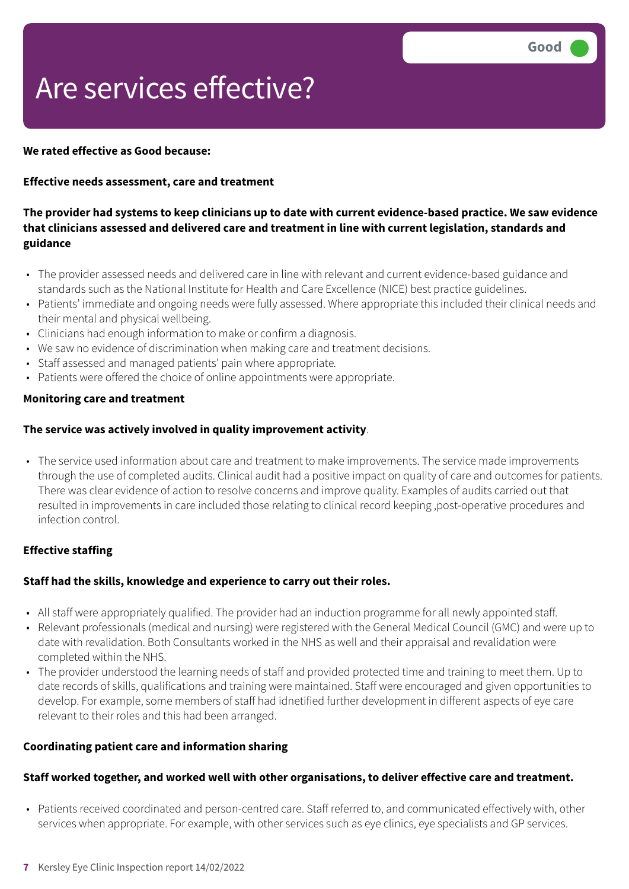# Are services effective?

### **We rated effective as Good because:**

### **Effective needs assessment, care and treatment**

### The provider had systems to keep clinicians up to date with current evidence-based practice. We saw evidence **that clinicians assessed and delivered care and treatment in line with current legislation, standards and guidance**

- The provider assessed needs and delivered care in line with relevant and current evidence-based guidance and standards such as the National Institute for Health and Care Excellence (NICE) best practice guidelines.
- Patients' immediate and ongoing needs were fully assessed. Where appropriate this included their clinical needs and their mental and physical wellbeing.
- Clinicians had enough information to make or confirm a diagnosis.
- We saw no evidence of discrimination when making care and treatment decisions.
- Staff assessed and managed patients' pain where appropriate*.*
- Patients were offered the choice of online appointments were appropriate.

### **Monitoring care and treatment**

### **The service was actively involved in quality improvement activity**.

• The service used information about care and treatment to make improvements. The service made improvements through the use of completed audits. Clinical audit had a positive impact on quality of care and outcomes for patients. There was clear evidence of action to resolve concerns and improve quality. Examples of audits carried out that resulted in improvements in care included those relating to clinical record keeping ,post-operative procedures and infection control.

### **Effective staffing**

### **Staff had the skills, knowledge and experience to carry out their roles.**

- All staff were appropriately qualified. The provider had an induction programme for all newly appointed staff.
- Relevant professionals (medical and nursing) were registered with the General Medical Council (GMC) and were up to date with revalidation. Both Consultants worked in the NHS as well and their appraisal and revalidation were completed within the NHS.
- The provider understood the learning needs of staff and provided protected time and training to meet them. Up to date records of skills, qualifications and training were maintained. Staff were encouraged and given opportunities to develop. For example, some members of staff had idnetified further development in different aspects of eye care relevant to their roles and this had been arranged.

#### **Coordinating patient care and information sharing**

### **Staff worked together, and worked well with other organisations, to deliver effective care and treatment.**

• Patients received coordinated and person-centred care. Staff referred to, and communicated effectively with, other services when appropriate. For example, with other services such as eye clinics, eye specialists and GP services.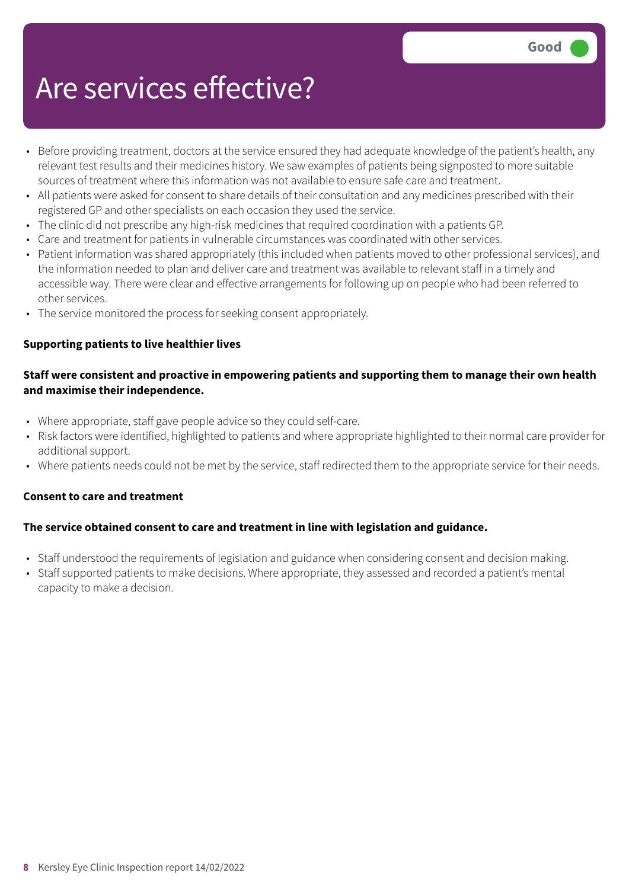## Are services effective?

- Before providing treatment, doctors at the service ensured they had adequate knowledge of the patient's health, any relevant test results and their medicines history. We saw examples of patients being signposted to more suitable sources of treatment where this information was not available to ensure safe care and treatment.
- All patients were asked for consent to share details of their consultation and any medicines prescribed with their registered GP and other specialists on each occasion they used the service.
- The clinic did not prescribe any high-risk medicines that required coordination with a patients GP.
- Care and treatment for patients in vulnerable circumstances was coordinated with other services.
- Patient information was shared appropriately (this included when patients moved to other professional services), and the information needed to plan and deliver care and treatment was available to relevant staff in a timely and accessible way. There were clear and effective arrangements for following up on people who had been referred to other services.
- The service monitored the process for seeking consent appropriately.

### **Supporting patients to live healthier lives**

### **Staff were consistent and proactive in empowering patients and supporting them to manage their own health and maximise their independence.**

- Where appropriate, staff gave people advice so they could self-care.
- Risk factors were identified, highlighted to patients and where appropriate highlighted to their normal care provider for additional support.
- Where patients needs could not be met by the service, staff redirected them to the appropriate service for their needs.

### **Consent to care and treatment**

### **The service obtained consent to care and treatment in line with legislation and guidance.**

- Staff understood the requirements of legislation and guidance when considering consent and decision making.
- Staff supported patients to make decisions. Where appropriate, they assessed and recorded a patient's mental capacity to make a decision.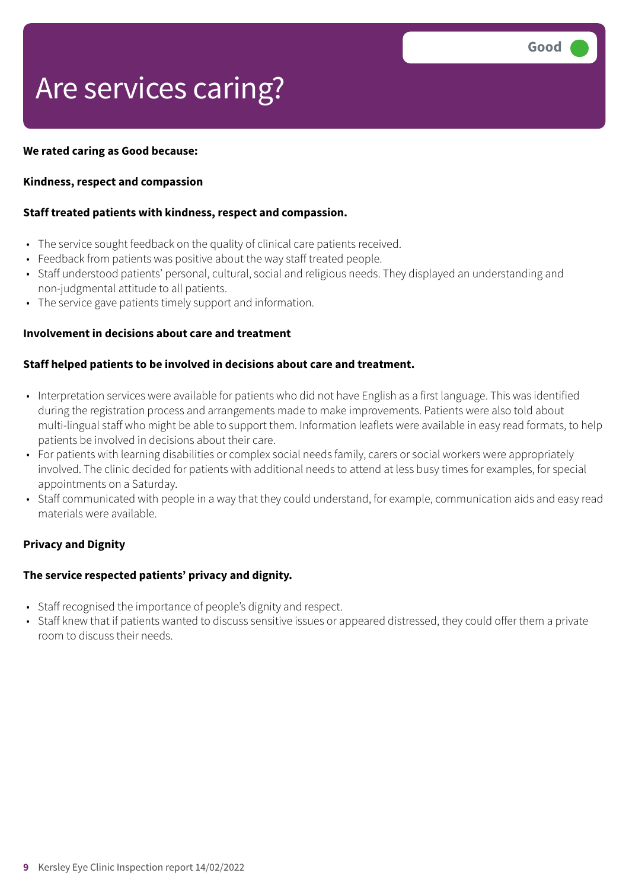### Are services caring?

### **We rated caring as Good because:**

### **Kindness, respect and compassion**

### **Staff treated patients with kindness, respect and compassion.**

- The service sought feedback on the quality of clinical care patients received.
- Feedback from patients was positive about the way staff treated people.
- Staff understood patients' personal, cultural, social and religious needs. They displayed an understanding and non-judgmental attitude to all patients.
- The service gave patients timely support and information.

### **Involvement in decisions about care and treatment**

### **Staff helped patients to be involved in decisions about care and treatment.**

- Interpretation services were available for patients who did not have English as a first language. This was identified during the registration process and arrangements made to make improvements. Patients were also told about multi-lingual staff who might be able to support them. Information leaflets were available in easy read formats, to help patients be involved in decisions about their care.
- For patients with learning disabilities or complex social needs family, carers or social workers were appropriately involved. The clinic decided for patients with additional needs to attend at less busy times for examples, for special appointments on a Saturday.
- Staff communicated with people in a way that they could understand, for example, communication aids and easy read materials were available.

### **Privacy and Dignity**

### **The service respected patients' privacy and dignity.**

- Staff recognised the importance of people's dignity and respect.
- Staff knew that if patients wanted to discuss sensitive issues or appeared distressed, they could offer them a private room to discuss their needs.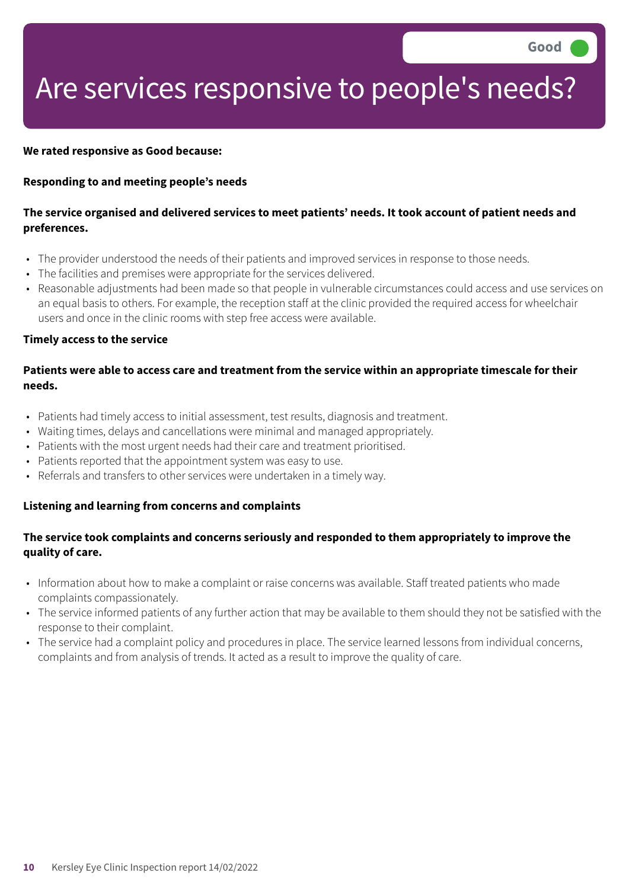### Are services responsive to people's needs?

#### **We rated responsive as Good because:**

#### **Responding to and meeting people's needs**

### The service organised and delivered services to meet patients' needs. It took account of patient needs and **preferences.**

- The provider understood the needs of their patients and improved services in response to those needs.
- The facilities and premises were appropriate for the services delivered.
- Reasonable adjustments had been made so that people in vulnerable circumstances could access and use services on an equal basis to others. For example, the reception staff at the clinic provided the required access for wheelchair users and once in the clinic rooms with step free access were available.

#### **Timely access to the service**

### Patients were able to access care and treatment from the service within an appropriate timescale for their **needs.**

- Patients had timely access to initial assessment, test results, diagnosis and treatment.
- Waiting times, delays and cancellations were minimal and managed appropriately.
- Patients with the most urgent needs had their care and treatment prioritised.
- Patients reported that the appointment system was easy to use.
- Referrals and transfers to other services were undertaken in a timely way.

#### **Listening and learning from concerns and complaints**

### **The service took complaints and concerns seriously and responded to them appropriately to improve the quality of care.**

- Information about how to make a complaint or raise concerns was available. Staff treated patients who made complaints compassionately.
- The service informed patients of any further action that may be available to them should they not be satisfied with the response to their complaint.
- The service had a complaint policy and procedures in place. The service learned lessons from individual concerns, complaints and from analysis of trends. It acted as a result to improve the quality of care.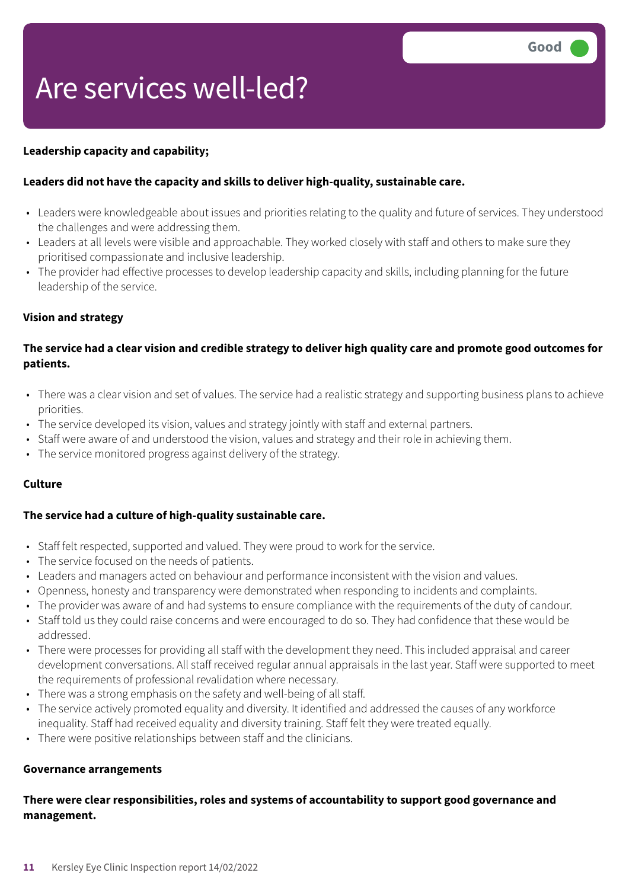# Are services well-led?

### **Leadership capacity and capability;**

### **Leaders did not have the capacity and skills to deliver high-quality, sustainable care.**

- Leaders were knowledgeable about issues and priorities relating to the quality and future of services. They understood the challenges and were addressing them.
- Leaders at all levels were visible and approachable. They worked closely with staff and others to make sure they prioritised compassionate and inclusive leadership.
- The provider had effective processes to develop leadership capacity and skills, including planning for the future leadership of the service.

### **Vision and strategy**

### The service had a clear vision and credible strategy to deliver high quality care and promote good outcomes for **patients.**

- There was a clear vision and set of values. The service had a realistic strategy and supporting business plans to achieve priorities.
- The service developed its vision, values and strategy jointly with staff and external partners.
- Staff were aware of and understood the vision, values and strategy and their role in achieving them.
- The service monitored progress against delivery of the strategy.

#### **Culture**

### **The service had a culture of high-quality sustainable care.**

- Staff felt respected, supported and valued. They were proud to work for the service.
- The service focused on the needs of patients.
- Leaders and managers acted on behaviour and performance inconsistent with the vision and values.
- Openness, honesty and transparency were demonstrated when responding to incidents and complaints.
- The provider was aware of and had systems to ensure compliance with the requirements of the duty of candour.
- Staff told us they could raise concerns and were encouraged to do so. They had confidence that these would be addressed.
- There were processes for providing all staff with the development they need. This included appraisal and career development conversations. All staff received regular annual appraisals in the last year. Staff were supported to meet the requirements of professional revalidation where necessary.
- There was a strong emphasis on the safety and well-being of all staff.
- The service actively promoted equality and diversity. It identified and addressed the causes of any workforce inequality. Staff had received equality and diversity training. Staff felt they were treated equally.
- There were positive relationships between staff and the clinicians.

#### **Governance arrangements**

### **There were clear responsibilities, roles and systems of accountability to support good governance and management.**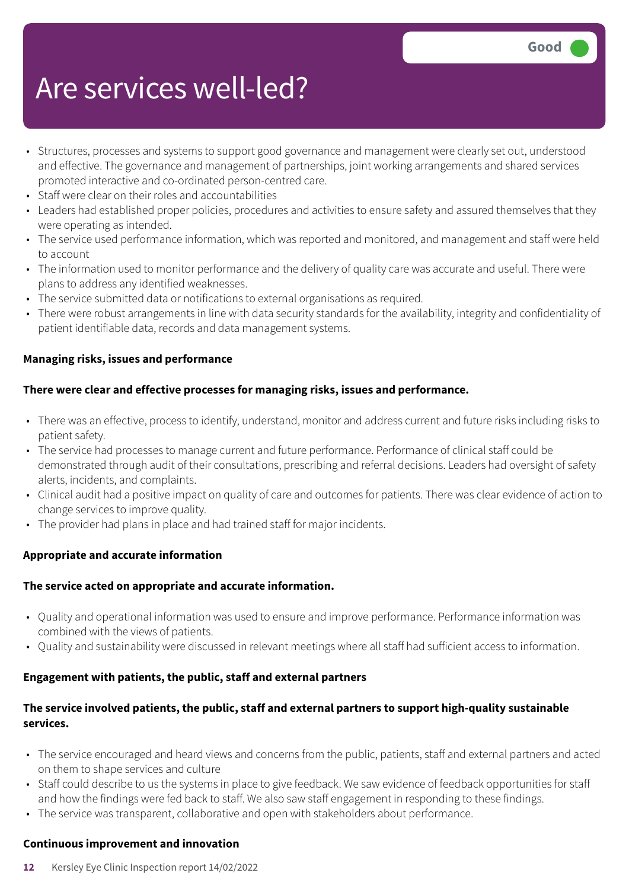### Are services well-led?

- Structures, processes and systems to support good governance and management were clearly set out, understood and effective. The governance and management of partnerships, joint working arrangements and shared services promoted interactive and co-ordinated person-centred care.
- Staff were clear on their roles and accountabilities
- Leaders had established proper policies, procedures and activities to ensure safety and assured themselves that they were operating as intended.
- The service used performance information, which was reported and monitored, and management and staff were held to account
- The information used to monitor performance and the delivery of quality care was accurate and useful. There were plans to address any identified weaknesses.
- The service submitted data or notifications to external organisations as required.
- There were robust arrangements in line with data security standards for the availability, integrity and confidentiality of patient identifiable data, records and data management systems.

### **Managing risks, issues and performance**

### **There were clear and effective processes for managing risks, issues and performance.**

- There was an effective, process to identify, understand, monitor and address current and future risks including risks to patient safety.
- The service had processes to manage current and future performance. Performance of clinical staff could be demonstrated through audit of their consultations, prescribing and referral decisions. Leaders had oversight of safety alerts, incidents, and complaints.
- Clinical audit had a positive impact on quality of care and outcomes for patients. There was clear evidence of action to change services to improve quality.
- The provider had plans in place and had trained staff for major incidents.

### **Appropriate and accurate information**

### **The service acted on appropriate and accurate information.**

- Quality and operational information was used to ensure and improve performance. Performance information was combined with the views of patients.
- Quality and sustainability were discussed in relevant meetings where all staff had sufficient access to information.

### **Engagement with patients, the public, staff and external partners**

### **The service involved patients, the public, staff and external partners to support high-quality sustainable services.**

- The service encouraged and heard views and concerns from the public, patients, staff and external partners and acted on them to shape services and culture
- Staff could describe to us the systems in place to give feedback. We saw evidence of feedback opportunities for staff and how the findings were fed back to staff. We also saw staff engagement in responding to these findings.
- The service was transparent, collaborative and open with stakeholders about performance.

### **Continuous improvement and innovation**